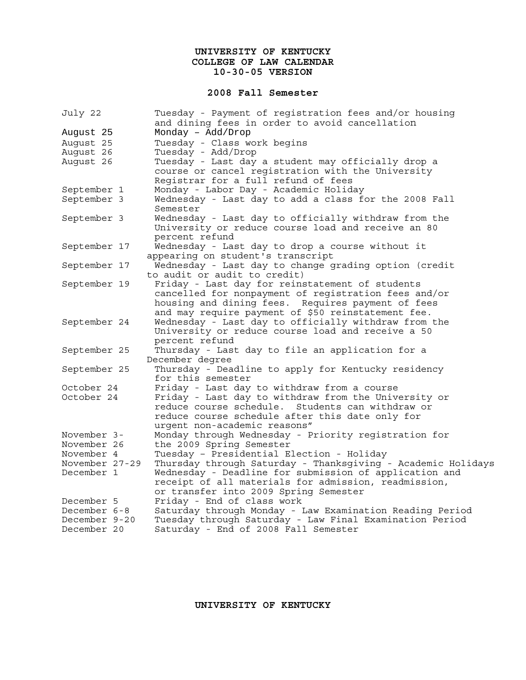### **UNIVERSITY OF KENTUCKY COLLEGE OF LAW CALENDAR 10-30-05 VERSION**

#### **2008 Fall Semester**

| July 22        | Tuesday - Payment of registration fees and/or housing               |
|----------------|---------------------------------------------------------------------|
|                | and dining fees in order to avoid cancellation                      |
| August 25      | Monday - Add/Drop                                                   |
| August 25      | Tuesday - Class work begins                                         |
| August 26      | Tuesday - Add/Drop                                                  |
| August 26      | Tuesday - Last day a student may officially drop a                  |
|                | course or cancel registration with the University                   |
|                | Reqistrar for a full refund of fees                                 |
| September 1    | Monday - Labor Day - Academic Holiday                               |
| September 3    | Wednesday - Last day to add a class for the 2008 Fall<br>Semester   |
| September 3    | Wednesday - Last day to officially withdraw from the                |
|                | University or reduce course load and receive an 80                  |
|                | percent refund                                                      |
| September 17   | Wednesday - Last day to drop a course without it                    |
|                | appearing on student's transcript                                   |
| September 17   | Wednesday - Last day to change grading option (credit               |
|                | to audit or audit to credit)                                        |
| September 19   | Friday - Last day for reinstatement of students                     |
|                | cancelled for nonpayment of registration fees and/or                |
|                | housing and dining fees. Requires payment of fees                   |
|                | and may require payment of \$50 reinstatement fee.                  |
| September 24   | Wednesday - Last day to officially withdraw from the                |
|                | University or reduce course load and receive a 50                   |
|                | percent refund                                                      |
| September 25   | Thursday - Last day to file an application for a<br>December degree |
| September 25   | Thursday - Deadline to apply for Kentucky residency                 |
|                | for this semester                                                   |
| October 24     | Friday - Last day to withdraw from a course                         |
| October 24     | Friday - Last day to withdraw from the University or                |
|                | reduce course schedule.<br>Students can withdraw or                 |
|                | reduce course schedule after this date only for                     |
|                | urgent non-academic reasons"                                        |
| November 3-    | Monday through Wednesday - Priority registration for                |
| November 26    | the 2009 Spring Semester                                            |
| November 4     | Tuesday - Presidential Election - Holiday                           |
| November 27-29 | Thursday through Saturday - Thanksgiving - Academic Holidays        |
| December 1     | Wednesday - Deadline for submission of application and              |
|                | receipt of all materials for admission, readmission,                |
|                | or transfer into 2009 Spring Semester                               |
| December 5     | Friday - End of class work                                          |
| December 6-8   | Saturday through Monday - Law Examination Reading Period            |
| December 9-20  | Tuesday through Saturday - Law Final Examination Period             |
| December 20    | Saturday - End of 2008 Fall Semester                                |

**UNIVERSITY OF KENTUCKY**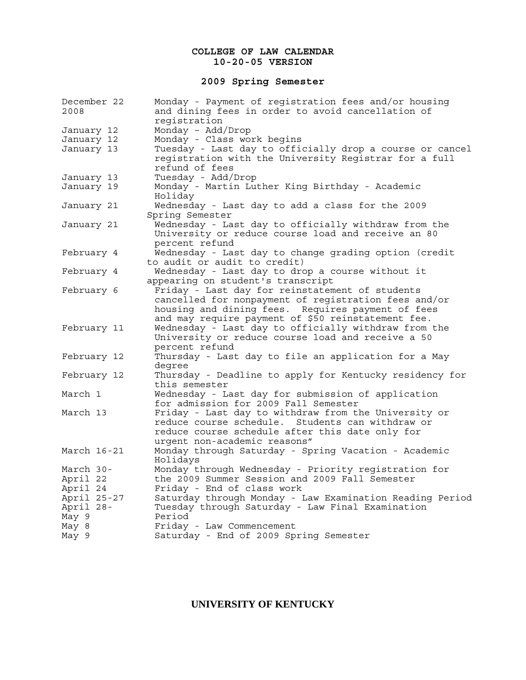### **COLLEGE OF LAW CALENDAR 10-20-05 VERSION**

## **2009 Spring Semester**

| December 22<br>2008 | Monday - Payment of registration fees and/or housing<br>and dining fees in order to avoid cancellation of         |
|---------------------|-------------------------------------------------------------------------------------------------------------------|
|                     | registration                                                                                                      |
| January 12          | Monday - Add/Drop                                                                                                 |
| January 12          | Monday - Class work begins                                                                                        |
| January 13          | Tuesday - Last day to officially drop a course or cancel<br>registration with the University Registrar for a full |
|                     | refund of fees                                                                                                    |
| January 13          | Tuesday - Add/Drop                                                                                                |
| January 19          | Monday - Martin Luther King Birthday - Academic                                                                   |
|                     | Holiday                                                                                                           |
| January 21          | Wednesday - Last day to add a class for the 2009                                                                  |
|                     | Spring Semester                                                                                                   |
| January 21          | Wednesday - Last day to officially withdraw from the                                                              |
|                     | University or reduce course load and receive an 80                                                                |
|                     | percent refund                                                                                                    |
| February 4          | Wednesday - Last day to change grading option (credit                                                             |
|                     | to audit or audit to credit)                                                                                      |
| February 4          | Wednesday - Last day to drop a course without it                                                                  |
|                     | appearing on student's transcript                                                                                 |
| February 6          | Friday - Last day for reinstatement of students                                                                   |
|                     | cancelled for nonpayment of registration fees and/or                                                              |
|                     | housing and dining fees. Requires payment of fees                                                                 |
|                     | and may require payment of \$50 reinstatement fee.                                                                |
| February 11         | Wednesday - Last day to officially withdraw from the                                                              |
|                     | University or reduce course load and receive a 50                                                                 |
|                     | percent refund                                                                                                    |
| February 12         | Thursday - Last day to file an application for a May                                                              |
|                     | degree                                                                                                            |
| February 12         | Thursday - Deadline to apply for Kentucky residency for                                                           |
|                     | this semester                                                                                                     |
| March 1             | Wednesday - Last day for submission of application                                                                |
|                     | for admission for 2009 Fall Semester                                                                              |
| March 13            | Friday - Last day to withdraw from the University or                                                              |
|                     | reduce course schedule. Students can withdraw or                                                                  |
|                     | reduce course schedule after this date only for                                                                   |
|                     | urgent non-academic reasons"                                                                                      |
| March 16-21         | Monday through Saturday - Spring Vacation - Academic                                                              |
|                     | Holidays                                                                                                          |
| March 30-           | Monday through Wednesday - Priority registration for                                                              |
| April 22            | the 2009 Summer Session and 2009 Fall Semester                                                                    |
| April 24            | Friday - End of class work                                                                                        |
| April 25-27         | Saturday through Monday - Law Examination Reading Period                                                          |
| April 28-           | Tuesday through Saturday - Law Final Examination                                                                  |
| May 9               | Period                                                                                                            |
| May 8               | Friday - Law Commencement                                                                                         |
| May 9               | Saturday - End of 2009 Spring Semester                                                                            |

# **UNIVERSITY OF KENTUCKY**